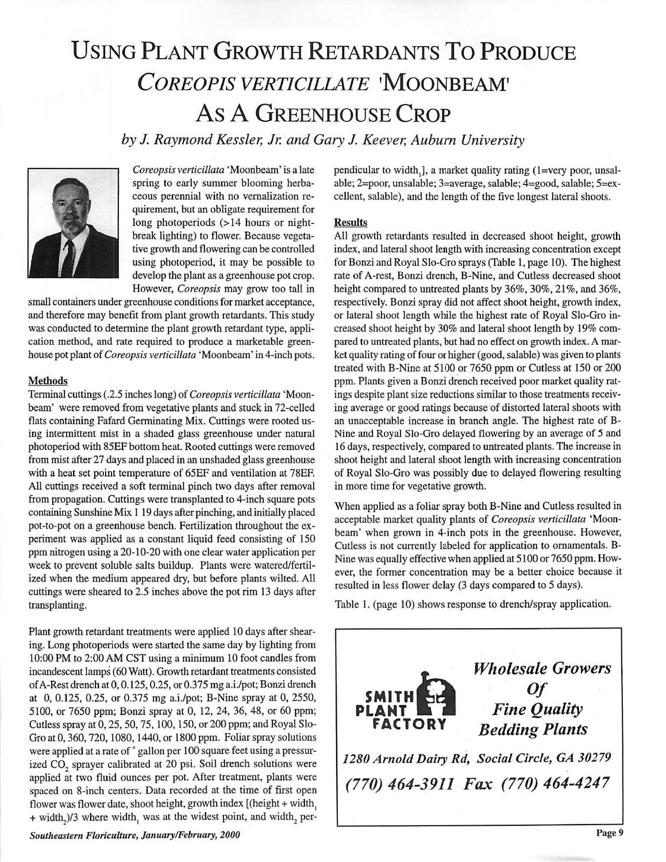## Using Plant Growth Retardants To Produce **coreopis verticillate** 'moonbeam' As A Greenhouse Crop

**by J. RaymondKessler, Jr. and Gary J. Keever, Auburn University**



**Coreopsis verticillata** 'Moonbeam' is a late spring to early summer blooming herba ceous perennial with no vernalization re quirement, but an obligate requirement for long photoperiods (>14 hours or nightbreak lighting) to flower. Because vegeta tive growth and flowering can be controlled using photoperiod, it may be possible to develop the plant as a greenhouse pot crop. However, **Coreopsis** may grow too tall in

small containers under greenhouse conditions for market acceptance, and therefore may benefit from plant growth retardants. This study was conducted to determine the plant growth retardant type, appli cation method, and rate required to produce a marketable green house pot plant of**Coreopsis verticillata** 'Moonbeam' in 4-inch pots.

## *Methods*

Terminal cuttings (.2.5 inches long) of *Coreopsis verticillata* 'Moonbeam' were removed from vegetative plants and stuck in 72-celled flats containing Fafard Germinating Mix. Cuttings were rooted us ing intermittent mist in a shaded glass greenhouse under natural photoperiod with 85EF bottom heat. Rooted cuttings were removed from mist after 27 days and placed in an unshaded glass greenhouse with a heat set point temperature of 65EF and ventilation at 78EF. All cuttings received a soft terminal pinch two days after removal from propagation. Cuttings were transplanted to 4-inch square pots containing Sunshine Mix 1 19 days after pinching, and initially placed pot-to-pot on a greenhouse bench. Fertilization throughout the ex periment was applied as a constant liquid feed consisting of 150 ppm nitrogen using a 20-10-20 with one clear water application per week to prevent soluble salts buildup. Plants were watered/fertil ized when the medium appeared dry, but before plants wilted. All cuttings were sheared to 2.5 inches above the pot rim 13 days after transplanting.

Plant growth retardant treatments were applied 10 days after shear ing. Long photoperiods were started the same day by lighting from 10:00 PM to 2:00 AM CST using a minimum 10 foot candles from incandescent lamps (60 Watt). Growth retardant treatments consisted of A-Restdrench at 0,0.125,0.25, or 0.375 mg a.i./pot; Bonzi drench at 0, 0.125, 0.25, or 0.375 mg a.i./pot; B-Nine spray at 0, 2550, 5100, or 7650 ppm; Bonzi spray at 0, 12, 24, 36, 48, or 60 ppm; Cutless spray at 0, 25, 50, 75, 100, 150, or 200 ppm; and Royal Slo-Gro at 0,360,720,1080,1440, or 1800 ppm. Foliar spray solutions were applied at a rate of ° gallon per 100 square feet using a pressurized CO<sub>2</sub> sprayer calibrated at 20 psi. Soil drench solutions were applied at two fluid ounces per pot. After treatment, plants were spaced on 8-inch centers. Data recorded at the time of first open flower was flower date, shoot height, growth index  $[$ (height + width, + width,)/3 where width, was at the widest point, and width, per-

**Southeastern Floriculture, January/February, 2000**

pendicular to width,], a market quality rating (1=very poor, unsalable; 2=poor, unsalable; 3=average, salable; 4=good, salable; 5=excellent, salable), and the length of the five longest lateral shoots.

## *Results*

All growth retardants resulted in decreased shoot height, growth index, and lateral shoot length with increasing concentration except for Bonzi and Royal Slo-Gro sprays (Table 1, page 10). The highest rate of A-rest, Bonzi drench, B-Nine, and Cutless decreased shoot height compared to untreated plants by 36%, 30%, 21%, and 36%, respectively. Bonzi spray did not affect shoot height, growth index, or lateral shoot length while the highest rate of Royal Slo-Gro in creased shoot height by 30% and lateral shoot length by 19% com pared to untreated plants, but had no effect on growth index. A mar ket quality rating of four or higher (good, salable) was given to plants treated with B-Nine at 5100 or 7650 ppm or Cutless at 150 or 200 ppm. Plants given a Bonzi drench received poor market quality rat ings despite plant size reductions similar to those treatments receiv ing average or good ratings because of distorted lateral shoots with an unacceptable increase in branch angle. The highest rate of B-Nine and Royal Slo-Gro delayed flowering by an average of 5 and 16 days, respectively, compared to untreated plants. The increase in shoot height and lateral shoot length with increasing concentration of Royal Slo-Gro was possibly due to delayed flowering resulting in more time for vegetative growth.

When applied as a foliar spray both B-Nine and Cutless resulted in acceptable market quality plants of **Coreopsis verticillata** 'Moon beam' when grown in 4-inch pots in the greenhouse. However, Cutless is not currently labeled for application to ornamentals. B-Nine was equally effective when applied at 5100 or 7650 ppm. How ever, the former concentration may be a better choice because it resulted in less flower delay (3 days compared to 5 days).

Table 1. (page 10) shows response to drench/spray application.